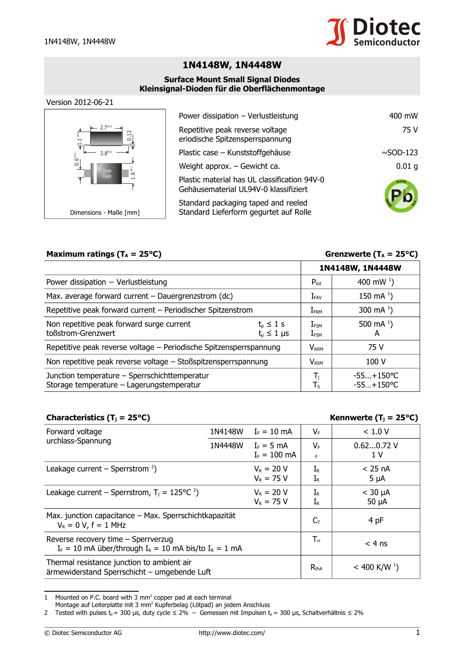

# **1N4148W, 1N4448W**

#### **Surface Mount Small Signal Diodes Kleinsignal-Dioden für die Oberflächenmontage**

#### Version 2012-06-21



| Power dissipation - Verlustleistung                                                   | 400 mW            |
|---------------------------------------------------------------------------------------|-------------------|
| Repetitive peak reverse voltage<br>eriodische Spitzensperrspannung                    | 75 V              |
| Plastic case - Kunststoffgehäuse                                                      | $\sim$ SOD-123    |
| Weight approx. - Gewicht ca.                                                          | 0.01 <sub>q</sub> |
| Plastic material has UL classification 94V-0<br>Gehäusematerial UL94V-0 klassifiziert | ROHS              |
| Standard packaging taped and reeled<br>Standard Lieferform gegurtet auf Rolle         |                   |

## **Maximum ratings (** $T_A = 25^{\circ}C$ **) Grenzwerte (** $T_A = 25^{\circ}C$ **)**

|                                                                                            |                                       |                                 | 1N4148W, 1N4448W             |  |
|--------------------------------------------------------------------------------------------|---------------------------------------|---------------------------------|------------------------------|--|
| Power dissipation $-$ Verlustleistung                                                      |                                       | $P_{\text{tot}}$                | 400 mW $^{1}$ )              |  |
| Max. average forward current - Dauergrenzstrom (dc)                                        |                                       | $I_{FAV}$                       | 150 mA $^{1}$ )              |  |
| Repetitive peak forward current - Periodischer Spitzenstrom                                |                                       | $I_{FRM}$                       | 300 mA $^{1}$ )              |  |
| Non repetitive peak forward surge current<br>toßstrom-Grenzwert                            | $t_{p} \leq 1$ s<br>$t_{p} \leq 1$ µs | $I_{\texttt{FSM}}$<br>$I_{FSM}$ | 500 mA $^{1}$ )<br>A         |  |
| Repetitive peak reverse voltage - Periodische Spitzensperrspannung                         |                                       | <b>V</b> <sub>RRM</sub>         | 75 V                         |  |
| Non repetitive peak reverse voltage - Stoßspitzensperrspannung                             |                                       | $V_{RSM}$                       | 100 V                        |  |
| Junction temperature - Sperrschichttemperatur<br>Storage temperature - Lagerungstemperatur |                                       | T,<br>$\mathsf{T}_\mathsf{S}$   | $-55+150$ °C<br>$-55+150$ °C |  |

### **Characteristics (Tj = 25°C) Kennwerte (Tj = 25°C)**

| Forward voltage<br>urchlass-Spannung                                                                | 1N4148W | $I_F = 10$ mA                  | $V_{F}$                                | < 1.0 V                      |
|-----------------------------------------------------------------------------------------------------|---------|--------------------------------|----------------------------------------|------------------------------|
|                                                                                                     | 1N4448W | $I_F = 5$ mA<br>$I_F = 100$ mA | $V_{F}$<br>F                           | $0.620.72$ V<br>1 V          |
| Leakage current – Sperrstrom $2$ )                                                                  |         | $V_R = 20 V$<br>$V_R = 75 V$   | $\rm I_R$<br>$\mathrm{I}_{\mathsf{R}}$ | $<$ 25 nA<br>$5 \mu A$       |
| Leakage current – Sperrstrom, $T_i = 125^{\circ}C^2$                                                |         | $V_R = 20 V$<br>$V_R = 75 V$   | $I_{R}$<br>$\mathrm{I}_{\mathsf{R}}$   | $<$ 30 $\mu$ A<br>$50 \mu A$ |
| Max. junction capacitance - Max. Sperrschichtkapazität<br>$V_R = 0 V$ , f = 1 MHz                   |         |                                | $C_T$                                  | 4 pF                         |
| Reverse recovery time - Sperrverzug<br>$I_F = 10$ mA über/through $I_R = 10$ mA bis/to $I_R = 1$ mA |         |                                | $T_{rr}$                               | $< 4$ ns                     |
| Thermal resistance junction to ambient air<br>ärmewiderstand Sperrschicht – umgebende Luft          |         |                                | $R_{thA}$                              | $<$ 400 K/W <sup>1</sup> )   |

<span id="page-0-0"></span>1 Mounted on P.C. board with  $3 \text{ mm}^2$  copper pad at each terminal

Montage auf Leiterplatte mit 3 mm<sup>2</sup> Kupferbelag (Lötpad) an jedem Anschluss

<span id="page-0-1"></span><sup>2</sup> Tested with pulses  $t_p = 300 \mu s$ , duty cycle  $\leq 2\%$  – Gemessen mit Impulsen  $t_p = 300 \mu s$ , Schaltverhältnis  $\leq 2\%$